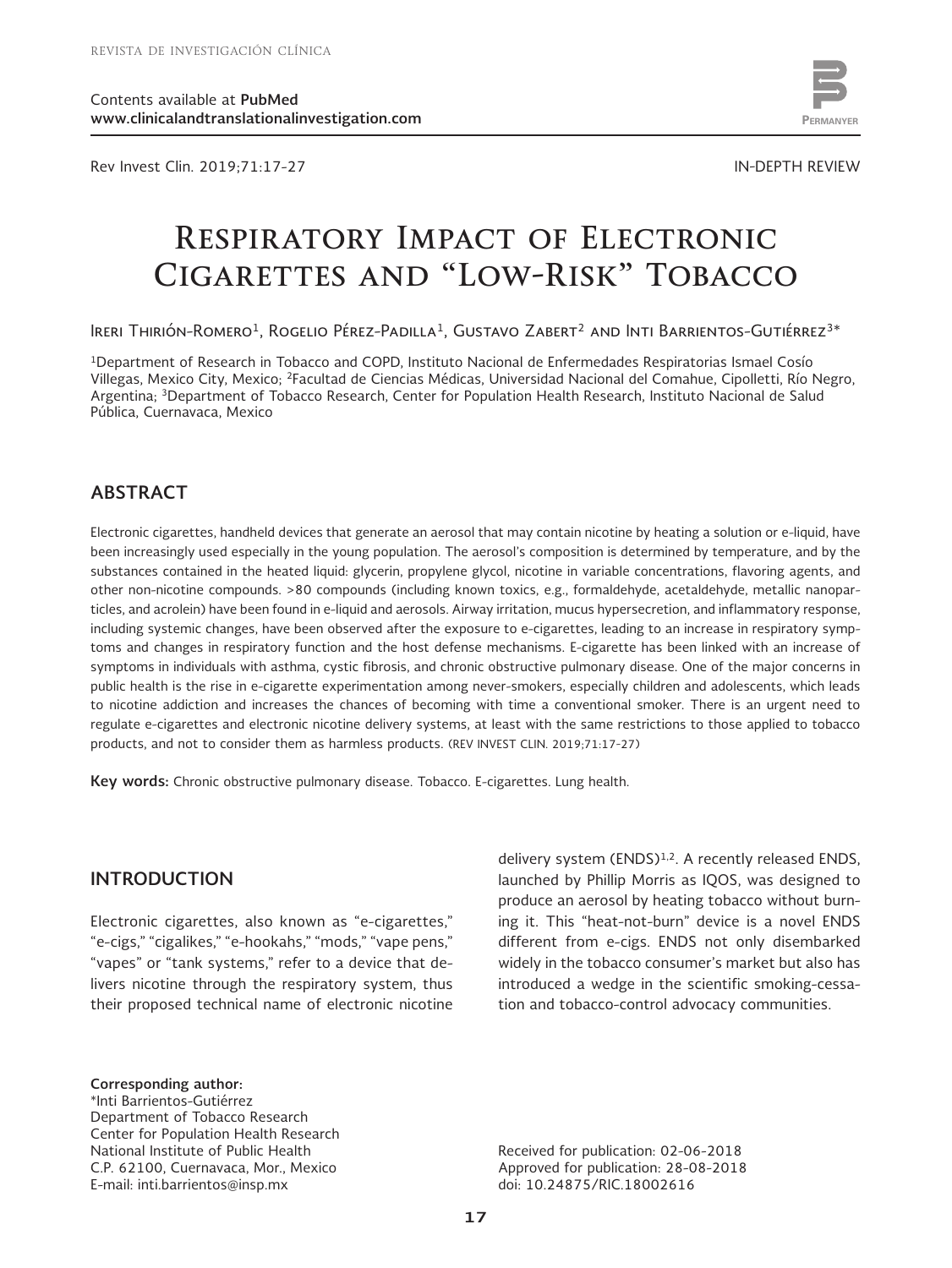Rev Invest Clin. 2019;71:17-27 IN-DEPTH REVIEW



www.permanyer.com

# **Respiratory Impact of Electronic Cigarettes and "Low-Risk" Tobacco**

Ireri Thirión-Romero<sup>1</sup>, Rogelio Pérez-Padilla<sup>1</sup>, Gustavo Zabert<sup>2</sup> and Inti Barrientos-Gutiérrez<sup>3\*</sup>

1Department of Research in Tobacco and COPD, Instituto Nacional de Enfermedades Respiratorias Ismael Cosío Villegas, Mexico City, Mexico; 2Facultad de Ciencias Médicas, Universidad Nacional del Comahue, Cipolletti, Río Negro, Argentina; 3Department of Tobacco Research, Center for Population Health Research, Instituto Nacional de Salud Pública, Cuernavaca, Mexico

# **ABSTRACT**

Electronic cigarettes, handheld devices that generate an aerosol that may contain nicotine by heating a solution or e-liquid, have been increasingly used especially in the young population. The aerosol's composition is determined by temperature, and by the substances contained in the heated liquid: glycerin, propylene glycol, nicotine in variable concentrations, flavoring agents, and other non-nicotine compounds. >80 compounds (including known toxics, e.g., formaldehyde, acetaldehyde, metallic nanoparticles, and acrolein) have been found in e-liquid and aerosols. Airway irritation, mucus hypersecretion, and inflammatory response, including systemic changes, have been observed after the exposure to e-cigarettes, leading to an increase in respiratory symptoms and changes in respiratory function and the host defense mechanisms. E-cigarette has been linked with an increase of symptoms in individuals with asthma, cystic fibrosis, and chronic obstructive pulmonary disease. One of the major concerns in public health is the rise in e-cigarette experimentation among never-smokers, especially children and adolescents, which leads to nicotine addiction and increases the chances of becoming with time a conventional smoker. There is an urgent need to regulate e-cigarettes and electronic nicotine delivery systems, at least with the same restrictions to those applied to tobacco products, and not to consider them as harmless products. (REV INVEST CLIN. 2019;71:17-27)

**Key words:** Chronic obstructive pulmonary disease. Tobacco. E-cigarettes. Lung health.

# **INTRODUCTION**

Electronic cigarettes, also known as "e-cigarettes," "e-cigs," "cigalikes," "e-hookahs," "mods," "vape pens," "vapes" or "tank systems," refer to a device that delivers nicotine through the respiratory system, thus their proposed technical name of electronic nicotine delivery system (ENDS)<sup>1,2</sup>. A recently released ENDS, launched by Phillip Morris as IQOS, was designed to produce an aerosol by heating tobacco without burning it. This "heat-not-burn" device is a novel ENDS different from e-cigs. ENDS not only disembarked widely in the tobacco consumer's market but also has introduced a wedge in the scientific smoking-cessation and tobacco-control advocacy communities.

**Corresponding author:** \*Inti Barrientos-Gutiérrez Department of Tobacco Research Center for Population Health Research National Institute of Public Health C.P. 62100, Cuernavaca, Mor., Mexico E-mail: inti.barrientos@insp.mx

Received for publication: 02-06-2018 Approved for publication: 28-08-2018 doi: 10.24875/RIC.18002616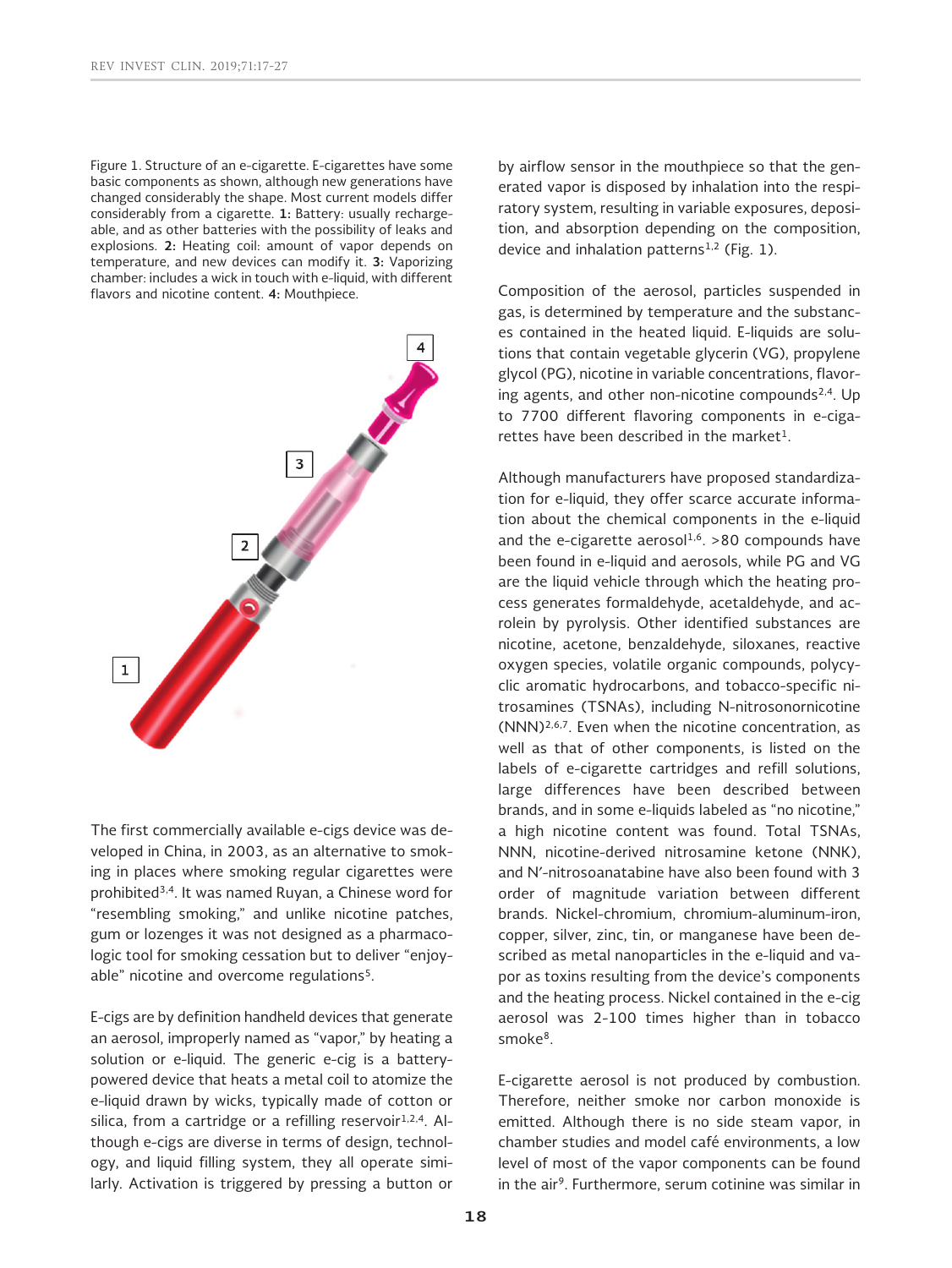Figure 1. Structure of an e-cigarette. E-cigarettes have some basic components as shown, although new generations have changed considerably the shape. Most current models differ considerably from a cigarette. **1:** Battery: usually rechargeable, and as other batteries with the possibility of leaks and explosions. **2:** Heating coil: amount of vapor depends on temperature, and new devices can modify it. **3:** Vaporizing chamber: includes a wick in touch with e-liquid, with different flavors and nicotine content. **4:** Mouthpiece.



The first commercially available e-cigs device was developed in China, in 2003, as an alternative to smoking in places where smoking regular cigarettes were prohibited3,4. It was named Ruyan, a Chinese word for "resembling smoking," and unlike nicotine patches, gum or lozenges it was not designed as a pharmacologic tool for smoking cessation but to deliver "enjoyable" nicotine and overcome regulations<sup>5</sup>.

E-cigs are by definition handheld devices that generate an aerosol, improperly named as "vapor," by heating a solution or e-liquid. The generic e-cig is a batterypowered device that heats a metal coil to atomize the e-liquid drawn by wicks, typically made of cotton or silica, from a cartridge or a refilling reservoir $1,2,4$ . Although e-cigs are diverse in terms of design, technology, and liquid filling system, they all operate similarly. Activation is triggered by pressing a button or by airflow sensor in the mouthpiece so that the generated vapor is disposed by inhalation into the respiratory system, resulting in variable exposures, deposition, and absorption depending on the composition, device and inhalation patterns<sup>1,2</sup> (Fig. 1).

Composition of the aerosol, particles suspended in gas, is determined by temperature and the substances contained in the heated liquid. E-liquids are solutions that contain vegetable glycerin (VG), propylene glycol (PG), nicotine in variable concentrations, flavoring agents, and other non-nicotine compounds $2,4$ . Up to 7700 different flavoring components in e-cigarettes have been described in the market $1$ .

Although manufacturers have proposed standardization for e-liquid, they offer scarce accurate information about the chemical components in the e-liquid and the e-cigarette aerosol<sup>1,6</sup>. >80 compounds have been found in e-liquid and aerosols, while PG and VG are the liquid vehicle through which the heating process generates formaldehyde, acetaldehyde, and acrolein by pyrolysis. Other identified substances are nicotine, acetone, benzaldehyde, siloxanes, reactive oxygen species, volatile organic compounds, polycyclic aromatic hydrocarbons, and tobacco-specific nitrosamines (TSNAs), including N-nitrosonornicotine  $(NNN)^{2,6,7}$ . Even when the nicotine concentration, as well as that of other components, is listed on the labels of e-cigarette cartridges and refill solutions, large differences have been described between brands, and in some e-liquids labeled as "no nicotine," a high nicotine content was found. Total TSNAs, NNN, nicotine-derived nitrosamine ketone (NNK), and N′-nitrosoanatabine have also been found with 3 order of magnitude variation between different brands. Nickel-chromium, chromium-aluminum-iron, copper, silver, zinc, tin, or manganese have been described as metal nanoparticles in the e-liquid and vapor as toxins resulting from the device's components and the heating process. Nickel contained in the e-cig aerosol was 2-100 times higher than in tobacco smoke8.

E-cigarette aerosol is not produced by combustion. Therefore, neither smoke nor carbon monoxide is emitted. Although there is no side steam vapor, in chamber studies and model café environments, a low level of most of the vapor components can be found in the air<sup>9</sup>. Furthermore, serum cotinine was similar in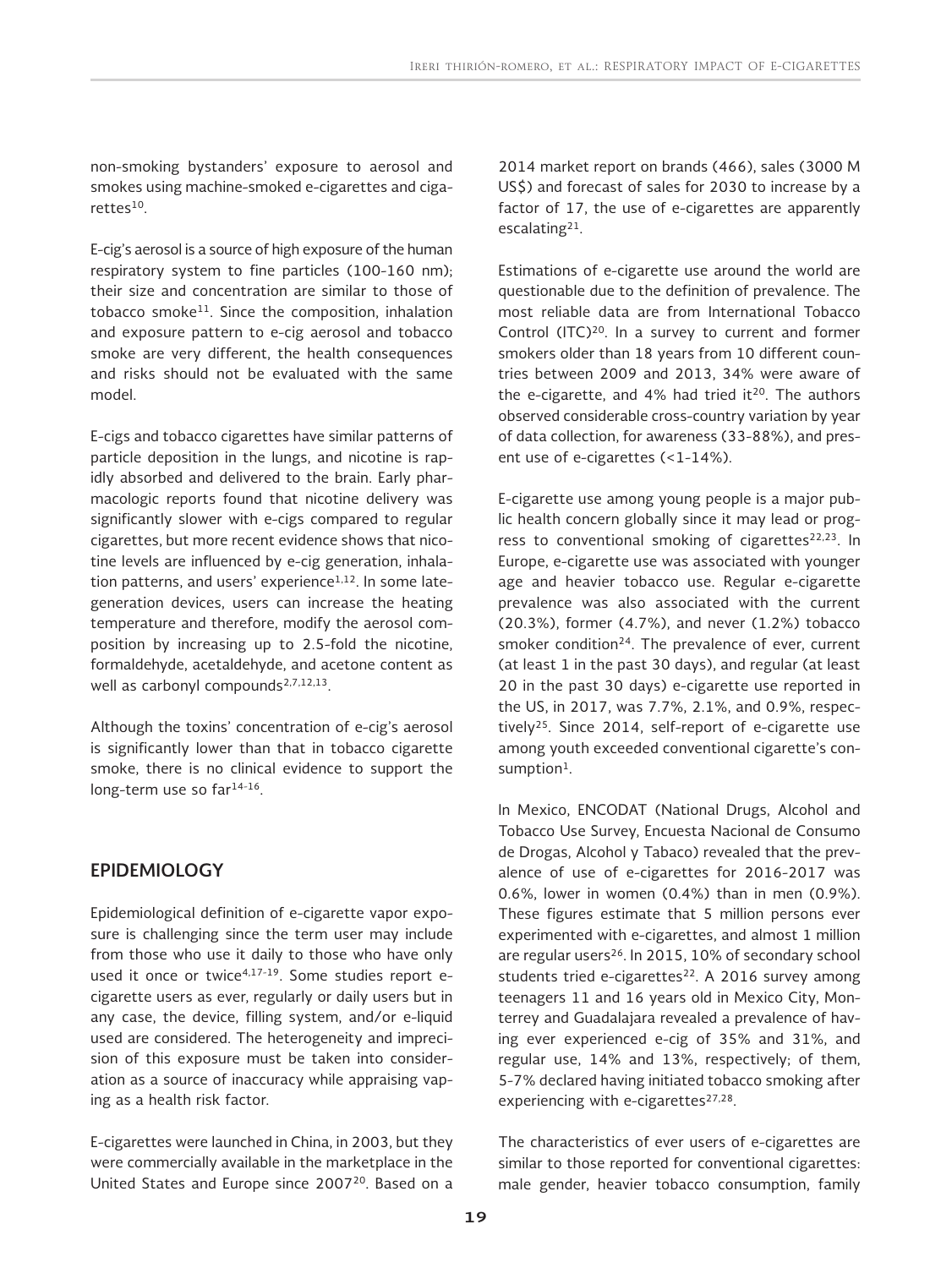non-smoking bystanders' exposure to aerosol and smokes using machine-smoked e-cigarettes and cigarettes<sup>10</sup>.

E-cig's aerosol is a source of high exposure of the human respiratory system to fine particles (100-160 nm); their size and concentration are similar to those of tobacco smoke<sup>11</sup>. Since the composition, inhalation and exposure pattern to e-cig aerosol and tobacco smoke are very different, the health consequences and risks should not be evaluated with the same model.

E-cigs and tobacco cigarettes have similar patterns of particle deposition in the lungs, and nicotine is rapidly absorbed and delivered to the brain. Early pharmacologic reports found that nicotine delivery was significantly slower with e-cigs compared to regular cigarettes, but more recent evidence shows that nicotine levels are influenced by e-cig generation, inhalation patterns, and users' experience<sup>1,12</sup>. In some lategeneration devices, users can increase the heating temperature and therefore, modify the aerosol composition by increasing up to 2.5-fold the nicotine, formaldehyde, acetaldehyde, and acetone content as well as carbonyl compounds $2,7,12,13$ .

Although the toxins' concentration of e-cig's aerosol is significantly lower than that in tobacco cigarette smoke, there is no clinical evidence to support the long-term use so far<sup>14-16</sup>.

# **EPIDEMIOLOGY**

Epidemiological definition of e-cigarette vapor exposure is challenging since the term user may include from those who use it daily to those who have only used it once or twice<sup>4,17-19</sup>. Some studies report ecigarette users as ever, regularly or daily users but in any case, the device, filling system, and/or e-liquid used are considered. The heterogeneity and imprecision of this exposure must be taken into consideration as a source of inaccuracy while appraising vaping as a health risk factor.

E-cigarettes were launched in China, in 2003, but they were commercially available in the marketplace in the United States and Europe since 2007<sup>20</sup>. Based on a 2014 market report on brands (466), sales (3000 M US\$) and forecast of sales for 2030 to increase by a factor of 17, the use of e-cigarettes are apparently escalating21.

Estimations of e-cigarette use around the world are questionable due to the definition of prevalence. The most reliable data are from International Tobacco Control (ITC)<sup>20</sup>. In a survey to current and former smokers older than 18 years from 10 different countries between 2009 and 2013, 34% were aware of the e-cigarette, and 4% had tried it<sup>20</sup>. The authors observed considerable cross-country variation by year of data collection, for awareness (33-88%), and present use of e-cigarettes (<1-14%).

E-cigarette use among young people is a major public health concern globally since it may lead or progress to conventional smoking of cigarettes<sup>22,23</sup>. In Europe, e-cigarette use was associated with younger age and heavier tobacco use. Regular e-cigarette prevalence was also associated with the current (20.3%), former (4.7%), and never (1.2%) tobacco smoker condition<sup>24</sup>. The prevalence of ever, current (at least 1 in the past 30 days), and regular (at least 20 in the past 30 days) e-cigarette use reported in the US, in 2017, was 7.7%, 2.1%, and 0.9%, respectively25. Since 2014, self-report of e-cigarette use among youth exceeded conventional cigarette's consumption<sup>1</sup>.

In Mexico, ENCODAT (National Drugs, Alcohol and Tobacco Use Survey, Encuesta Nacional de Consumo de Drogas, Alcohol y Tabaco) revealed that the prevalence of use of e-cigarettes for 2016-2017 was 0.6%, lower in women (0.4%) than in men (0.9%). These figures estimate that 5 million persons ever experimented with e-cigarettes, and almost 1 million are regular users<sup>26</sup>. In 2015, 10% of secondary school students tried e-cigarettes $22$ . A 2016 survey among teenagers 11 and 16 years old in Mexico City, Monterrey and Guadalajara revealed a prevalence of having ever experienced e-cig of 35% and 31%, and regular use, 14% and 13%, respectively; of them, 5-7% declared having initiated tobacco smoking after experiencing with e-cigarettes<sup>27,28</sup>.

The characteristics of ever users of e-cigarettes are similar to those reported for conventional cigarettes: male gender, heavier tobacco consumption, family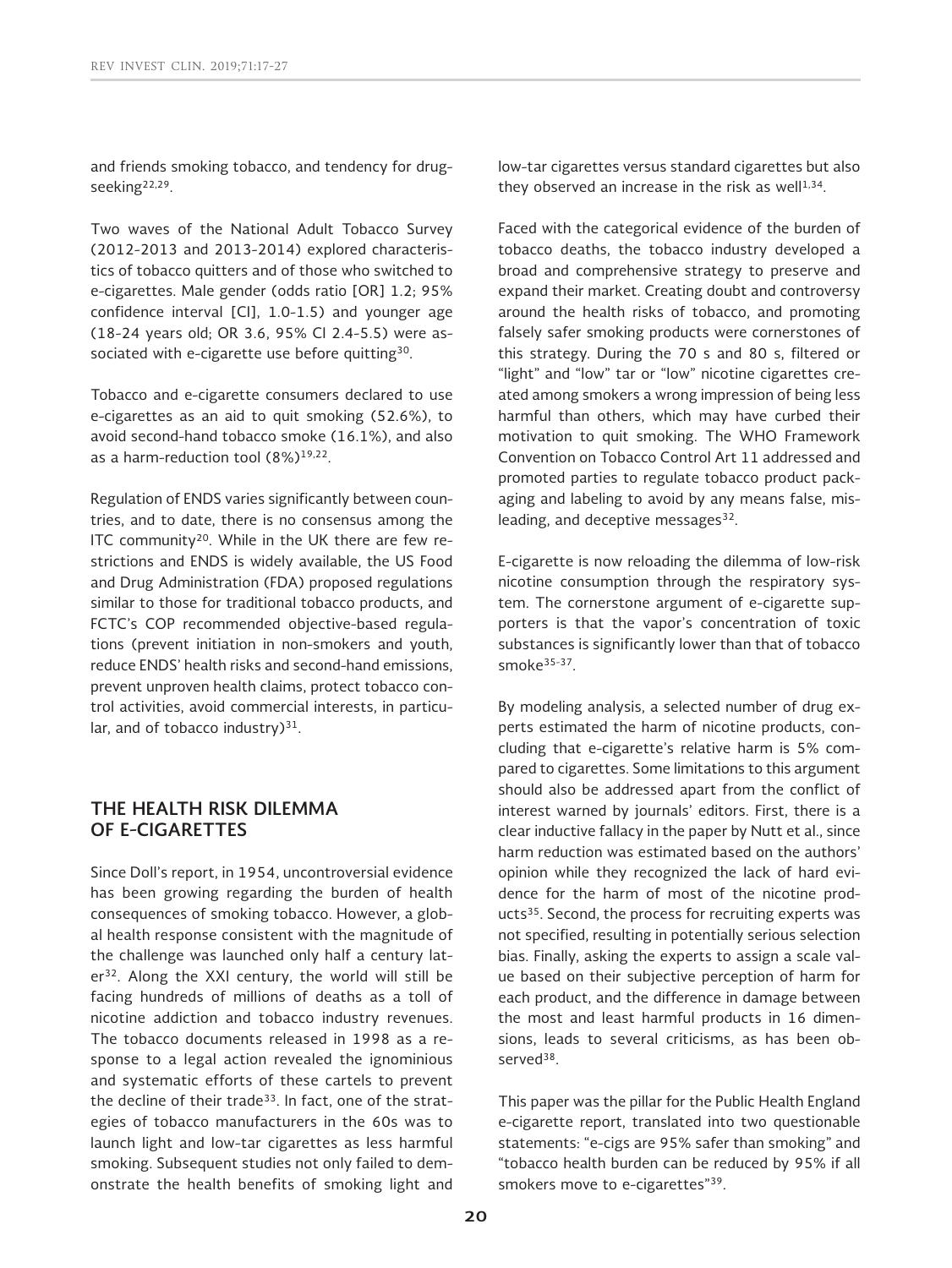and friends smoking tobacco, and tendency for drugseeking22,29.

Two waves of the National Adult Tobacco Survey (2012-2013 and 2013-2014) explored characteristics of tobacco quitters and of those who switched to e-cigarettes. Male gender (odds ratio [OR] 1.2; 95% confidence interval [CI], 1.0-1.5) and younger age (18-24 years old; OR 3.6, 95% CI 2.4-5.5) were associated with e-cigarette use before quitting<sup>30</sup>.

Tobacco and e-cigarette consumers declared to use e-cigarettes as an aid to quit smoking (52.6%), to avoid second-hand tobacco smoke (16.1%), and also as a harm-reduction tool (8%)19,22.

Regulation of ENDS varies significantly between countries, and to date, there is no consensus among the ITC community<sup>20</sup>. While in the UK there are few restrictions and ENDS is widely available, the US Food and Drug Administration (FDA) proposed regulations similar to those for traditional tobacco products, and FCTC's COP recommended objective-based regulations (prevent initiation in non-smokers and youth, reduce ENDS' health risks and second-hand emissions, prevent unproven health claims, protect tobacco control activities, avoid commercial interests, in particular, and of tobacco industry) $31$ .

# **THE HEALTH RISK DILEMMA OF E-CIGARETTES**

Since Doll's report, in 1954, uncontroversial evidence has been growing regarding the burden of health consequences of smoking tobacco. However, a global health response consistent with the magnitude of the challenge was launched only half a century later<sup>32</sup>. Along the XXI century, the world will still be facing hundreds of millions of deaths as a toll of nicotine addiction and tobacco industry revenues. The tobacco documents released in 1998 as a response to a legal action revealed the ignominious and systematic efforts of these cartels to prevent the decline of their trade<sup>33</sup>. In fact, one of the strategies of tobacco manufacturers in the 60s was to launch light and low-tar cigarettes as less harmful smoking. Subsequent studies not only failed to demonstrate the health benefits of smoking light and low-tar cigarettes versus standard cigarettes but also they observed an increase in the risk as well $1,34$ .

Faced with the categorical evidence of the burden of tobacco deaths, the tobacco industry developed a broad and comprehensive strategy to preserve and expand their market. Creating doubt and controversy around the health risks of tobacco, and promoting falsely safer smoking products were cornerstones of this strategy. During the 70 s and 80 s, filtered or "light" and "low" tar or "low" nicotine cigarettes created among smokers a wrong impression of being less harmful than others, which may have curbed their motivation to quit smoking. The WHO Framework Convention on Tobacco Control Art 11 addressed and promoted parties to regulate tobacco product packaging and labeling to avoid by any means false, misleading, and deceptive messages<sup>32</sup>.

E-cigarette is now reloading the dilemma of low-risk nicotine consumption through the respiratory system. The cornerstone argument of e-cigarette supporters is that the vapor's concentration of toxic substances is significantly lower than that of tobacco smoke35-37.

By modeling analysis, a selected number of drug experts estimated the harm of nicotine products, concluding that e-cigarette's relative harm is 5% compared to cigarettes. Some limitations to this argument should also be addressed apart from the conflict of interest warned by journals' editors. First, there is a clear inductive fallacy in the paper by Nutt et al., since harm reduction was estimated based on the authors' opinion while they recognized the lack of hard evidence for the harm of most of the nicotine products<sup>35</sup>. Second, the process for recruiting experts was not specified, resulting in potentially serious selection bias. Finally, asking the experts to assign a scale value based on their subjective perception of harm for each product, and the difference in damage between the most and least harmful products in 16 dimensions, leads to several criticisms, as has been observed<sup>38</sup>.

This paper was the pillar for the Public Health England e-cigarette report, translated into two questionable statements: "e-cigs are 95% safer than smoking" and "tobacco health burden can be reduced by 95% if all smokers move to e-cigarettes"<sup>39</sup>.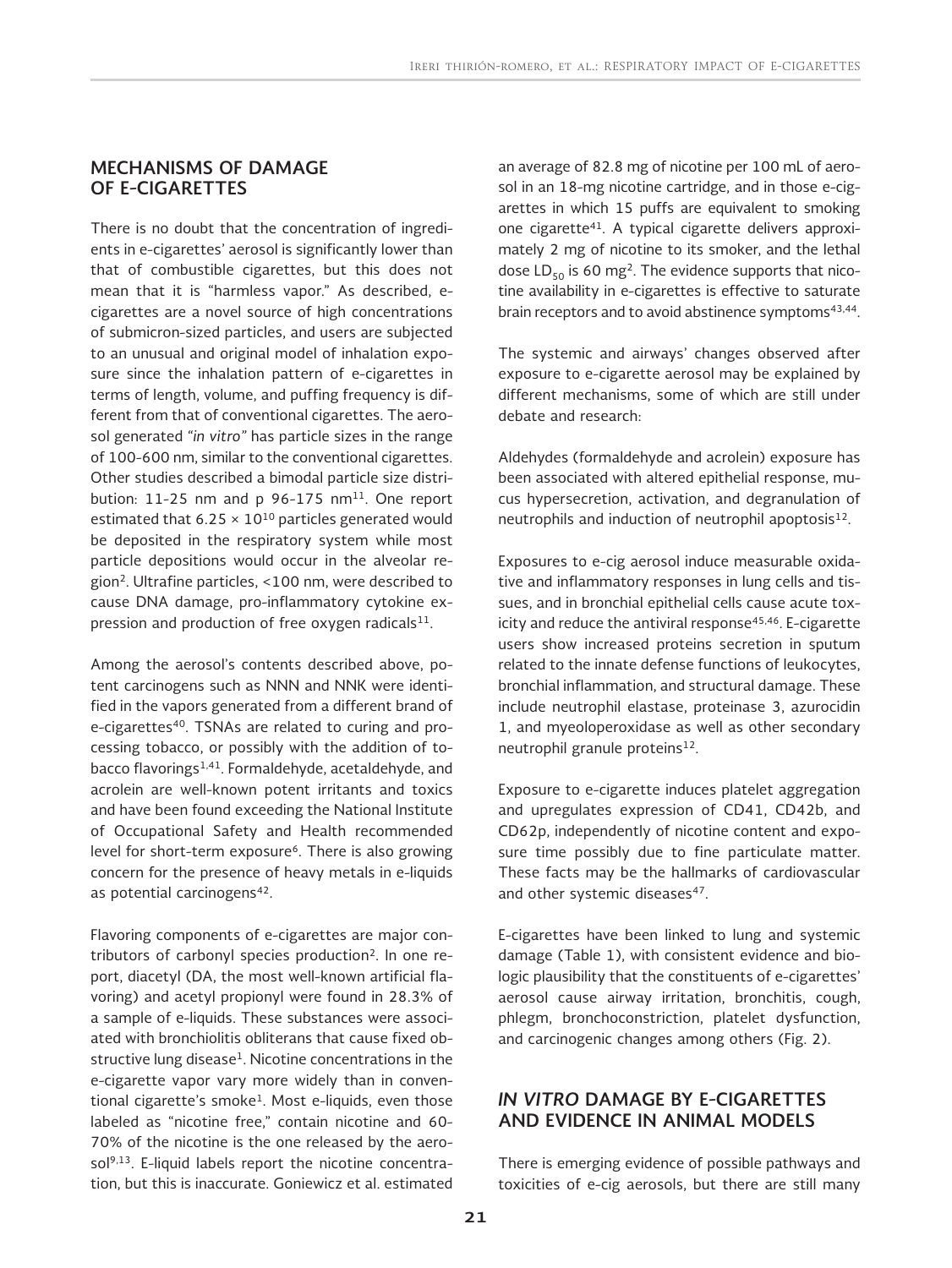## **MECHANISMS OF DAMAGE OF E-CIGARETTES**

There is no doubt that the concentration of ingredients in e-cigarettes' aerosol is significantly lower than that of combustible cigarettes, but this does not mean that it is "harmless vapor." As described, ecigarettes are a novel source of high concentrations of submicron-sized particles, and users are subjected to an unusual and original model of inhalation exposure since the inhalation pattern of e-cigarettes in terms of length, volume, and puffing frequency is different from that of conventional cigarettes. The aerosol generated *"in vitro"* has particle sizes in the range of 100-600 nm, similar to the conventional cigarettes. Other studies described a bimodal particle size distribution:  $11-25$  nm and p 96-175 nm<sup>11</sup>. One report estimated that  $6.25 \times 10^{10}$  particles generated would be deposited in the respiratory system while most particle depositions would occur in the alveolar region2. Ultrafine particles, <100 nm, were described to cause DNA damage, pro-inflammatory cytokine expression and production of free oxygen radicals $11$ .

Among the aerosol's contents described above, potent carcinogens such as NNN and NNK were identified in the vapors generated from a different brand of e-cigarettes<sup>40</sup>. TSNAs are related to curing and processing tobacco, or possibly with the addition of tobacco flavorings1,41. Formaldehyde, acetaldehyde, and acrolein are well-known potent irritants and toxics and have been found exceeding the National Institute of Occupational Safety and Health recommended level for short-term exposure<sup>6</sup>. There is also growing concern for the presence of heavy metals in e-liquids as potential carcinogens<sup>42</sup>.

Flavoring components of e-cigarettes are major contributors of carbonyl species production<sup>2</sup>. In one report, diacetyl (DA, the most well-known artificial flavoring) and acetyl propionyl were found in 28.3% of a sample of e-liquids. These substances were associated with bronchiolitis obliterans that cause fixed obstructive lung disease<sup>1</sup>. Nicotine concentrations in the e-cigarette vapor vary more widely than in conventional cigarette's smoke<sup>1</sup>. Most e-liquids, even those labeled as "nicotine free," contain nicotine and 60-70% of the nicotine is the one released by the aerosol<sup>9,13</sup>. E-liquid labels report the nicotine concentration, but this is inaccurate. Goniewicz et al. estimated an average of 82.8 mg of nicotine per 100 mL of aerosol in an 18-mg nicotine cartridge, and in those e-cigarettes in which 15 puffs are equivalent to smoking one cigarette41. A typical cigarette delivers approximately 2 mg of nicotine to its smoker, and the lethal dose  $LD_{50}$  is 60 mg<sup>2</sup>. The evidence supports that nicotine availability in e-cigarettes is effective to saturate brain receptors and to avoid abstinence symptoms<sup>43,44</sup>.

The systemic and airways' changes observed after exposure to e-cigarette aerosol may be explained by different mechanisms, some of which are still under debate and research:

Aldehydes (formaldehyde and acrolein) exposure has been associated with altered epithelial response, mucus hypersecretion, activation, and degranulation of neutrophils and induction of neutrophil apoptosis<sup>12</sup>.

Exposures to e-cig aerosol induce measurable oxidative and inflammatory responses in lung cells and tissues, and in bronchial epithelial cells cause acute toxicity and reduce the antiviral response<sup>45,46</sup>. E-cigarette users show increased proteins secretion in sputum related to the innate defense functions of leukocytes, bronchial inflammation, and structural damage. These include neutrophil elastase, proteinase 3, azurocidin 1, and myeoloperoxidase as well as other secondary neutrophil granule proteins<sup>12</sup>.

Exposure to e-cigarette induces platelet aggregation and upregulates expression of CD41, CD42b, and CD62p, independently of nicotine content and exposure time possibly due to fine particulate matter. These facts may be the hallmarks of cardiovascular and other systemic diseases<sup>47</sup>.

E-cigarettes have been linked to lung and systemic damage (Table 1), with consistent evidence and biologic plausibility that the constituents of e-cigarettes' aerosol cause airway irritation, bronchitis, cough, phlegm, bronchoconstriction, platelet dysfunction, and carcinogenic changes among others (Fig. 2).

# *IN VITRO* **DAMAGE BY E-CIGARETTES AND EVIDENCE IN ANIMAL MODELS**

There is emerging evidence of possible pathways and toxicities of e-cig aerosols, but there are still many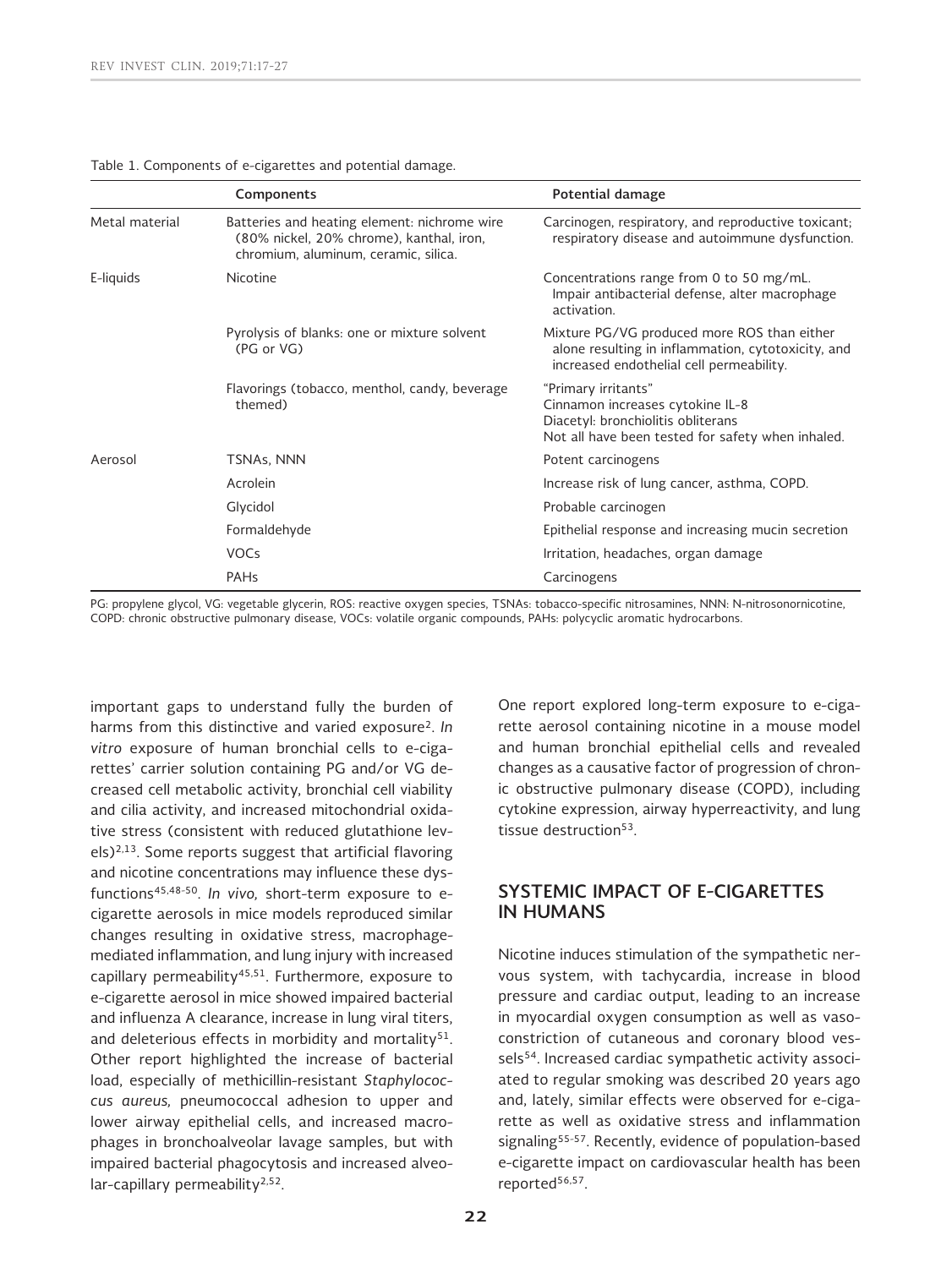|                | Components                                                                                                                       | Potential damage                                                                                                                                   |
|----------------|----------------------------------------------------------------------------------------------------------------------------------|----------------------------------------------------------------------------------------------------------------------------------------------------|
| Metal material | Batteries and heating element: nichrome wire<br>(80% nickel, 20% chrome), kanthal, iron,<br>chromium, aluminum, ceramic, silica. | Carcinogen, respiratory, and reproductive toxicant;<br>respiratory disease and autoimmune dysfunction.                                             |
| E-liquids      | <b>Nicotine</b>                                                                                                                  | Concentrations range from 0 to 50 mg/mL.<br>Impair antibacterial defense, alter macrophage<br>activation.                                          |
|                | Pyrolysis of blanks: one or mixture solvent<br>(PG or VG)                                                                        | Mixture PG/VG produced more ROS than either<br>alone resulting in inflammation, cytotoxicity, and<br>increased endothelial cell permeability.      |
|                | Flavorings (tobacco, menthol, candy, beverage<br>themed)                                                                         | "Primary irritants"<br>Cinnamon increases cytokine IL-8<br>Diacetyl: bronchiolitis obliterans<br>Not all have been tested for safety when inhaled. |
| Aerosol        | TSNAs, NNN                                                                                                                       | Potent carcinogens                                                                                                                                 |
|                | Acrolein                                                                                                                         | Increase risk of lung cancer, asthma, COPD.                                                                                                        |
|                | Glycidol                                                                                                                         | Probable carcinogen                                                                                                                                |
|                | Formaldehyde                                                                                                                     | Epithelial response and increasing mucin secretion                                                                                                 |
|                | <b>VOCs</b>                                                                                                                      | Irritation, headaches, organ damage                                                                                                                |
|                | <b>PAHs</b>                                                                                                                      | Carcinogens                                                                                                                                        |

#### Table 1. Components of e-cigarettes and potential damage.

PG: propylene glycol, VG: vegetable glycerin, ROS: reactive oxygen species, TSNAs: tobacco-specific nitrosamines, NNN: N-nitrosonornicotine, COPD: chronic obstructive pulmonary disease, VOCs: volatile organic compounds, PAHs: polycyclic aromatic hydrocarbons.

important gaps to understand fully the burden of harms from this distinctive and varied exposure2. *In vitro* exposure of human bronchial cells to e-cigarettes' carrier solution containing PG and/or VG decreased cell metabolic activity, bronchial cell viability and cilia activity, and increased mitochondrial oxidative stress (consistent with reduced glutathione lev $e$ ls)<sup>2,13</sup>. Some reports suggest that artificial flavoring and nicotine concentrations may influence these dysfunctions45,48-50. *In vivo,* short-term exposure to ecigarette aerosols in mice models reproduced similar changes resulting in oxidative stress, macrophagemediated inflammation, and lung injury with increased capillary permeability<sup>45,51</sup>. Furthermore, exposure to e-cigarette aerosol in mice showed impaired bacterial and influenza A clearance, increase in lung viral titers, and deleterious effects in morbidity and mortality<sup>51</sup>. Other report highlighted the increase of bacterial load, especially of methicillin-resistant *Staphylococcus aureus,* pneumococcal adhesion to upper and lower airway epithelial cells, and increased macrophages in bronchoalveolar lavage samples, but with impaired bacterial phagocytosis and increased alveolar-capillary permeability<sup>2,52</sup>.

One report explored long-term exposure to e-cigarette aerosol containing nicotine in a mouse model and human bronchial epithelial cells and revealed changes as a causative factor of progression of chronic obstructive pulmonary disease (COPD), including cytokine expression, airway hyperreactivity, and lung tissue destruction<sup>53</sup>.

# **SYSTEMIC IMPACT OF E-CIGARETTES IN HUMANS**

Nicotine induces stimulation of the sympathetic nervous system, with tachycardia, increase in blood pressure and cardiac output, leading to an increase in myocardial oxygen consumption as well as vasoconstriction of cutaneous and coronary blood vessels<sup>54</sup>. Increased cardiac sympathetic activity associated to regular smoking was described 20 years ago and, lately, similar effects were observed for e-cigarette as well as oxidative stress and inflammation signaling<sup>55-57</sup>. Recently, evidence of population-based e-cigarette impact on cardiovascular health has been reported<sup>56,57</sup>.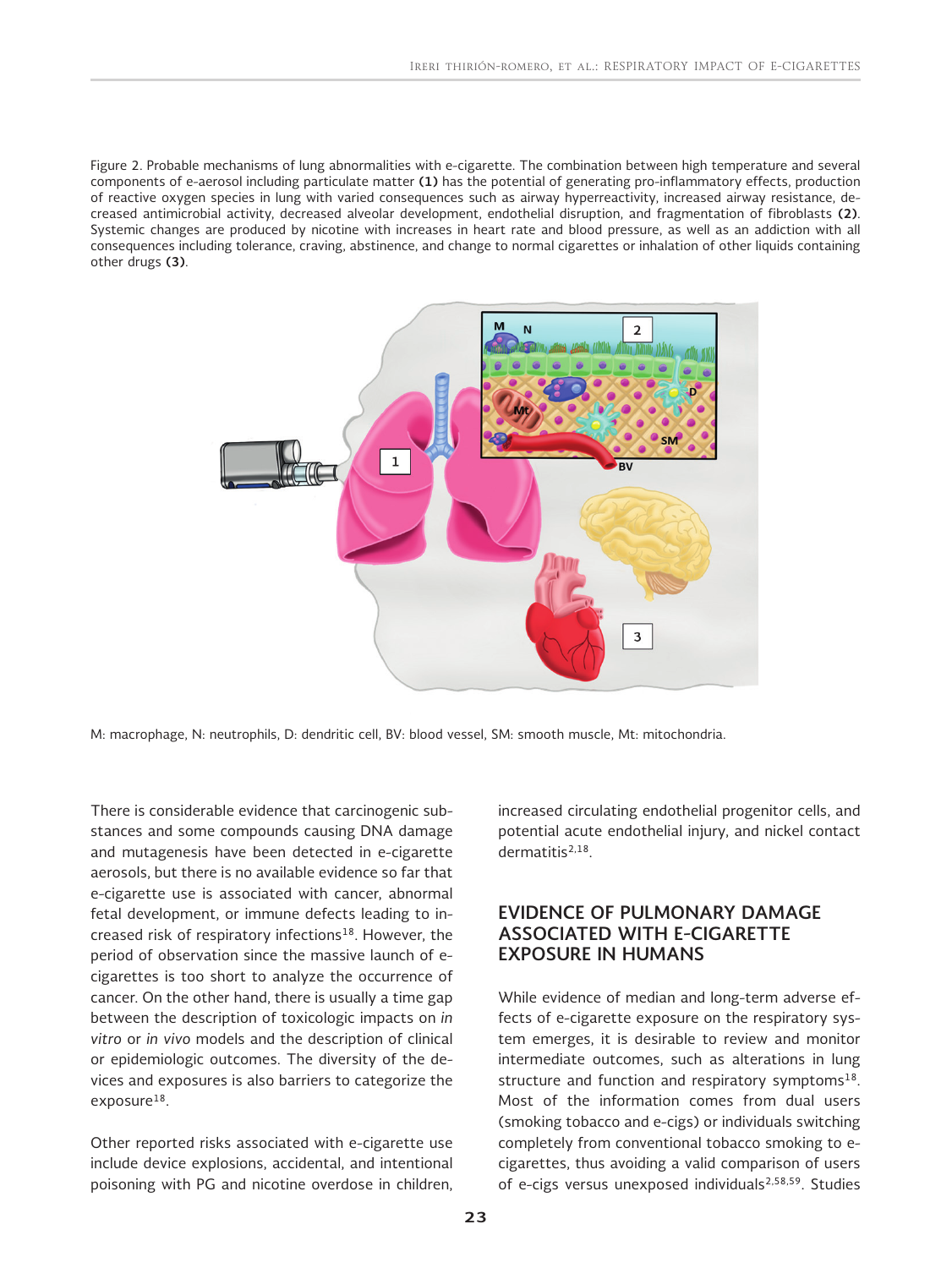Figure 2. Probable mechanisms of lung abnormalities with e-cigarette. The combination between high temperature and several components of e-aerosol including particulate matter **(1)** has the potential of generating pro-inflammatory effects, production of reactive oxygen species in lung with varied consequences such as airway hyperreactivity, increased airway resistance, decreased antimicrobial activity, decreased alveolar development, endothelial disruption, and fragmentation of fibroblasts **(2)**. Systemic changes are produced by nicotine with increases in heart rate and blood pressure, as well as an addiction with all consequences including tolerance, craving, abstinence, and change to normal cigarettes or inhalation of other liquids containing other drugs **(3)**.



M: macrophage, N: neutrophils, D: dendritic cell, BV: blood vessel, SM: smooth muscle, Mt: mitochondria.

There is considerable evidence that carcinogenic substances and some compounds causing DNA damage and mutagenesis have been detected in e-cigarette aerosols, but there is no available evidence so far that e-cigarette use is associated with cancer, abnormal fetal development, or immune defects leading to increased risk of respiratory infections<sup>18</sup>. However, the period of observation since the massive launch of ecigarettes is too short to analyze the occurrence of cancer. On the other hand, there is usually a time gap between the description of toxicologic impacts on *in vitro* or *in vivo* models and the description of clinical or epidemiologic outcomes. The diversity of the devices and exposures is also barriers to categorize the exposure<sup>18</sup>.

Other reported risks associated with e-cigarette use include device explosions, accidental, and intentional poisoning with PG and nicotine overdose in children, increased circulating endothelial progenitor cells, and potential acute endothelial injury, and nickel contact dermatitis2,18.

# **EVIDENCE OF PULMONARY DAMAGE ASSOCIATED WITH E-CIGARETTE EXPOSURE IN HUMANS**

While evidence of median and long-term adverse effects of e-cigarette exposure on the respiratory system emerges, it is desirable to review and monitor intermediate outcomes, such as alterations in lung structure and function and respiratory symptoms $18$ . Most of the information comes from dual users (smoking tobacco and e-cigs) or individuals switching completely from conventional tobacco smoking to ecigarettes, thus avoiding a valid comparison of users of e-cigs versus unexposed individuals<sup>2,58,59</sup>. Studies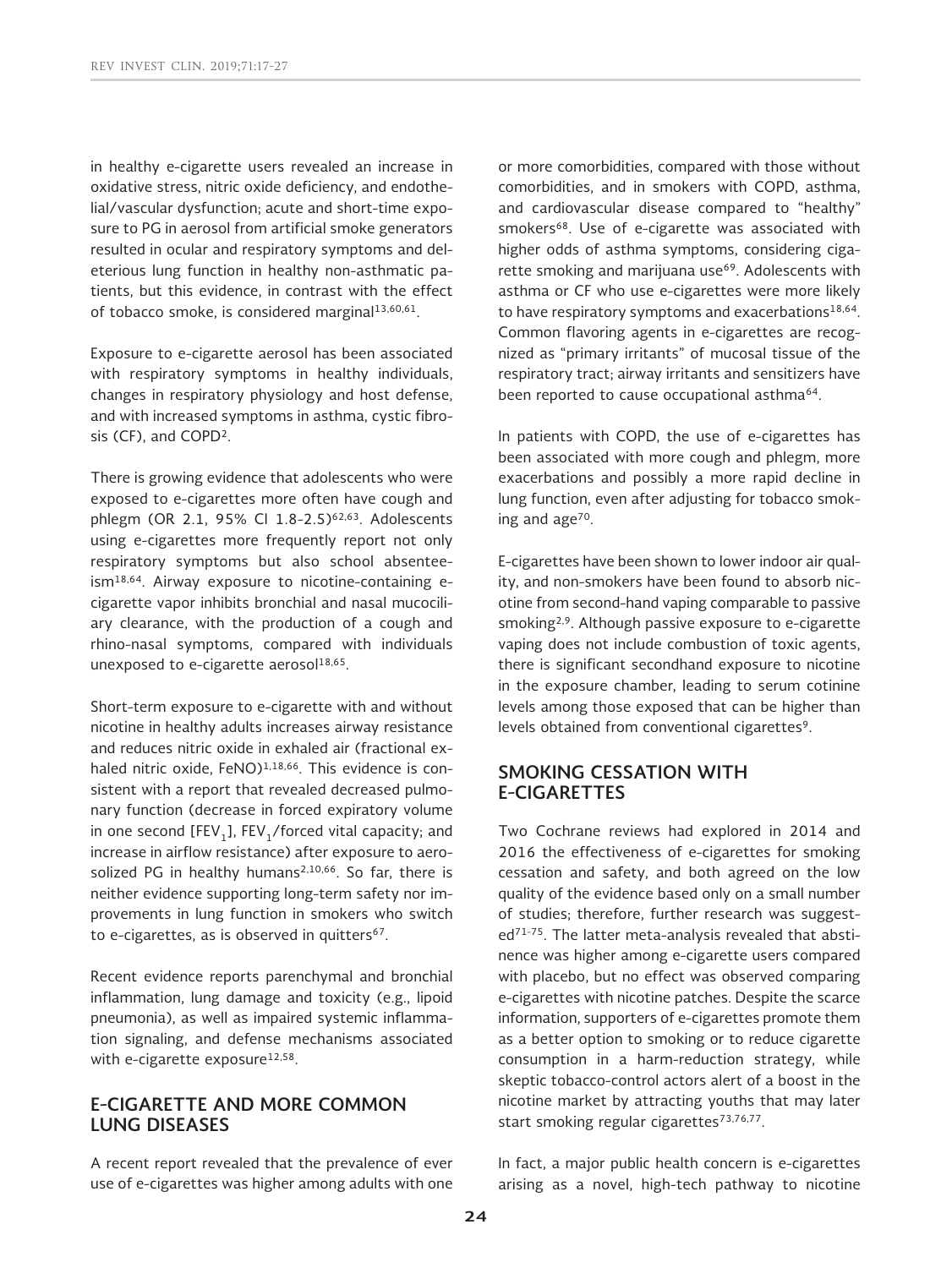in healthy e-cigarette users revealed an increase in oxidative stress, nitric oxide deficiency, and endothelial/vascular dysfunction; acute and short-time exposure to PG in aerosol from artificial smoke generators resulted in ocular and respiratory symptoms and deleterious lung function in healthy non-asthmatic patients, but this evidence, in contrast with the effect of tobacco smoke, is considered marginal $13,60,61$ .

Exposure to e-cigarette aerosol has been associated with respiratory symptoms in healthy individuals, changes in respiratory physiology and host defense, and with increased symptoms in asthma, cystic fibrosis (CF), and COPD2.

There is growing evidence that adolescents who were exposed to e-cigarettes more often have cough and phlegm (OR 2.1, 95% CI 1.8-2.5)<sup>62,63</sup>. Adolescents using e-cigarettes more frequently report not only respiratory symptoms but also school absenteeism18,64. Airway exposure to nicotine-containing ecigarette vapor inhibits bronchial and nasal mucociliary clearance, with the production of a cough and rhino-nasal symptoms, compared with individuals unexposed to e-cigarette aerosol<sup>18,65</sup>.

Short-term exposure to e-cigarette with and without nicotine in healthy adults increases airway resistance and reduces nitric oxide in exhaled air (fractional exhaled nitric oxide, FeNO)<sup>1,18,66</sup>. This evidence is consistent with a report that revealed decreased pulmonary function (decrease in forced expiratory volume in one second [FEV<sub>1</sub>], FEV<sub>1</sub>/forced vital capacity; and increase in airflow resistance) after exposure to aerosolized PG in healthy humans<sup>2,10,66</sup>. So far, there is neither evidence supporting long-term safety nor improvements in lung function in smokers who switch to e-cigarettes, as is observed in quitters<sup>67</sup>.

Recent evidence reports parenchymal and bronchial inflammation, lung damage and toxicity (e.g., lipoid pneumonia), as well as impaired systemic inflammation signaling, and defense mechanisms associated with e-cigarette exposure<sup>12,58</sup>.

# **E-CIGARETTE AND MORE COMMON LUNG DISEASES**

A recent report revealed that the prevalence of ever use of e-cigarettes was higher among adults with one or more comorbidities, compared with those without comorbidities, and in smokers with COPD, asthma, and cardiovascular disease compared to "healthy" smokers<sup>68</sup>. Use of e-cigarette was associated with higher odds of asthma symptoms, considering cigarette smoking and marijuana use<sup>69</sup>. Adolescents with asthma or CF who use e-cigarettes were more likely to have respiratory symptoms and exacerbations<sup>18,64</sup>. Common flavoring agents in e-cigarettes are recognized as "primary irritants" of mucosal tissue of the respiratory tract; airway irritants and sensitizers have been reported to cause occupational asthma<sup>64</sup>.

In patients with COPD, the use of e-cigarettes has been associated with more cough and phlegm, more exacerbations and possibly a more rapid decline in lung function, even after adjusting for tobacco smoking and age<sup>70</sup>.

E-cigarettes have been shown to lower indoor air quality, and non-smokers have been found to absorb nicotine from second-hand vaping comparable to passive smoking2,9. Although passive exposure to e-cigarette vaping does not include combustion of toxic agents, there is significant secondhand exposure to nicotine in the exposure chamber, leading to serum cotinine levels among those exposed that can be higher than levels obtained from conventional cigarettes<sup>9</sup>.

# **SMOKING CESSATION WITH E-CIGARETTES**

Two Cochrane reviews had explored in 2014 and 2016 the effectiveness of e-cigarettes for smoking cessation and safety, and both agreed on the low quality of the evidence based only on a small number of studies; therefore, further research was suggested71-75. The latter meta-analysis revealed that abstinence was higher among e-cigarette users compared with placebo, but no effect was observed comparing e-cigarettes with nicotine patches. Despite the scarce information, supporters of e-cigarettes promote them as a better option to smoking or to reduce cigarette consumption in a harm-reduction strategy, while skeptic tobacco-control actors alert of a boost in the nicotine market by attracting youths that may later start smoking regular cigarettes<sup>73,76,77</sup>.

In fact, a major public health concern is e-cigarettes arising as a novel, high-tech pathway to nicotine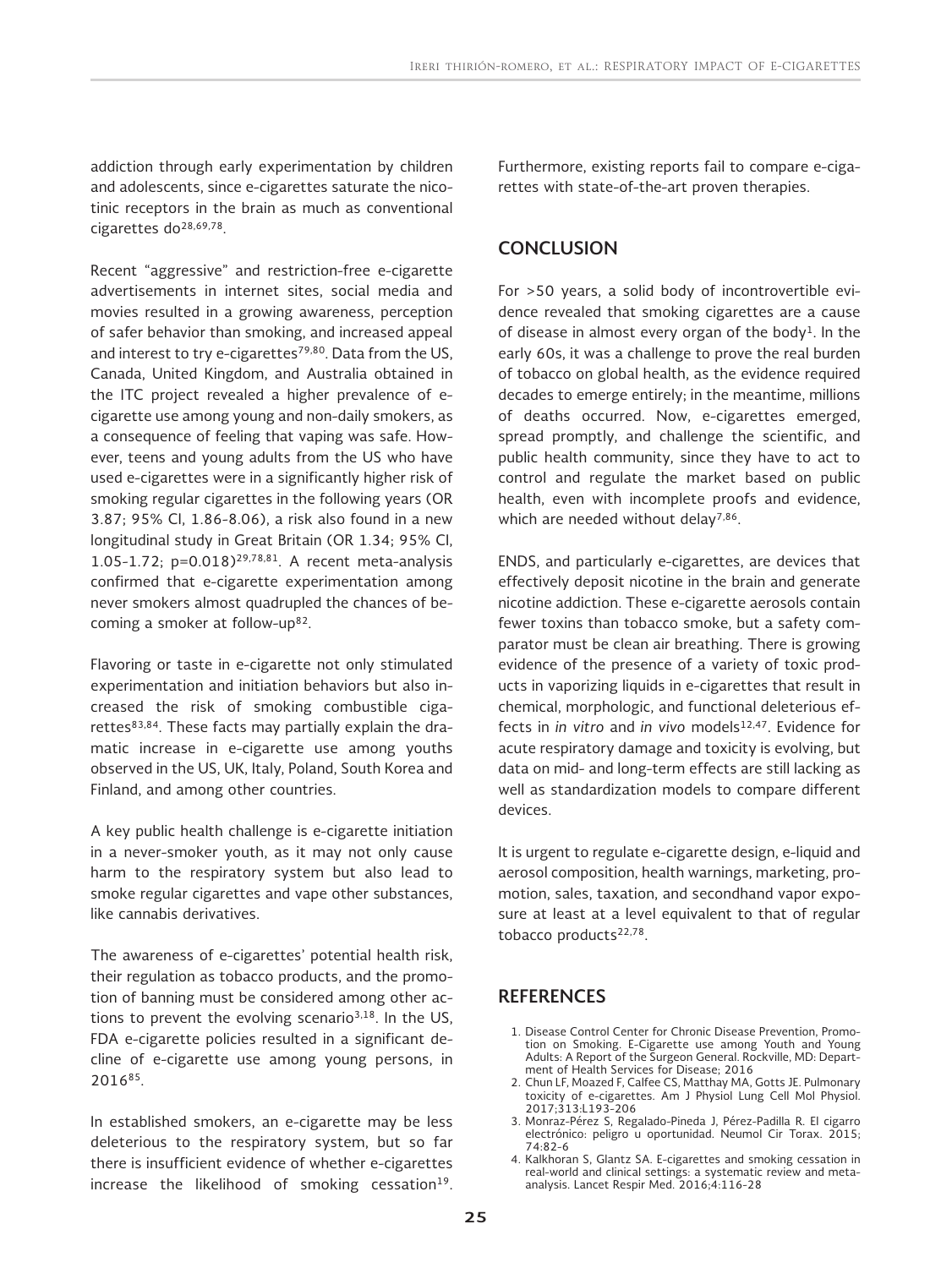addiction through early experimentation by children and adolescents, since e-cigarettes saturate the nicotinic receptors in the brain as much as conventional cigarettes do28,69,78.

Recent "aggressive" and restriction-free e-cigarette advertisements in internet sites, social media and movies resulted in a growing awareness, perception of safer behavior than smoking, and increased appeal and interest to try e-cigarettes<sup>79,80</sup>. Data from the US, Canada, United Kingdom, and Australia obtained in the ITC project revealed a higher prevalence of ecigarette use among young and non-daily smokers, as a consequence of feeling that vaping was safe. However, teens and young adults from the US who have used e-cigarettes were in a significantly higher risk of smoking regular cigarettes in the following years (OR 3.87; 95% CI, 1.86-8.06), a risk also found in a new longitudinal study in Great Britain (OR 1.34; 95% CI, 1.05-1.72;  $p=0.018$ <sup>29,78,81</sup>. A recent meta-analysis confirmed that e-cigarette experimentation among never smokers almost quadrupled the chances of becoming a smoker at follow-up82.

Flavoring or taste in e-cigarette not only stimulated experimentation and initiation behaviors but also increased the risk of smoking combustible cigarettes $83,84$ . These facts may partially explain the dramatic increase in e-cigarette use among youths observed in the US, UK, Italy, Poland, South Korea and Finland, and among other countries.

A key public health challenge is e-cigarette initiation in a never-smoker youth, as it may not only cause harm to the respiratory system but also lead to smoke regular cigarettes and vape other substances, like cannabis derivatives.

The awareness of e-cigarettes' potential health risk, their regulation as tobacco products, and the promotion of banning must be considered among other actions to prevent the evolving scenario<sup>3,18</sup>. In the US, FDA e-cigarette policies resulted in a significant decline of e-cigarette use among young persons, in 201685.

In established smokers, an e-cigarette may be less deleterious to the respiratory system, but so far there is insufficient evidence of whether e-cigarettes increase the likelihood of smoking cessation $19$ . Furthermore, existing reports fail to compare e-cigarettes with state-of-the-art proven therapies.

## **CONCLUSION**

For >50 years, a solid body of incontrovertible evidence revealed that smoking cigarettes are a cause of disease in almost every organ of the body<sup>1</sup>. In the early 60s, it was a challenge to prove the real burden of tobacco on global health, as the evidence required decades to emerge entirely; in the meantime, millions of deaths occurred. Now, e-cigarettes emerged, spread promptly, and challenge the scientific, and public health community, since they have to act to control and regulate the market based on public health, even with incomplete proofs and evidence, which are needed without delay<sup>7,86</sup>.

ENDS, and particularly e-cigarettes, are devices that effectively deposit nicotine in the brain and generate nicotine addiction. These e-cigarette aerosols contain fewer toxins than tobacco smoke, but a safety comparator must be clean air breathing. There is growing evidence of the presence of a variety of toxic products in vaporizing liquids in e-cigarettes that result in chemical, morphologic, and functional deleterious effects in *in vitro* and *in vivo* models<sup>12,47</sup>. Evidence for acute respiratory damage and toxicity is evolving, but data on mid- and long-term effects are still lacking as well as standardization models to compare different devices.

It is urgent to regulate e-cigarette design, e-liquid and aerosol composition, health warnings, marketing, promotion, sales, taxation, and secondhand vapor exposure at least at a level equivalent to that of regular tobacco products<sup>22,78</sup>.

## **REFERENCES**

- 1. Disease Control Center for Chronic Disease Prevention, Promotion on Smoking. E-Cigarette use among Youth and Young Adults: A Report of the Surgeon General. Rockville, MD: Depart-ment of Health Services for Disease; 2016
- 2. Chun LF, Moazed F, Calfee CS, Matthay MA, Gotts JE. Pulmonary toxicity of e-cigarettes. Am J Physiol Lung Cell Mol Physiol. 2017;313:L193-206
- 3. Monraz-Pérez S, Regalado-Pineda J, Pérez-Padilla R. El cigarro electrónico: peligro u oportunidad. Neumol Cir Torax. 2015; 74:82-6
- 4. Kalkhoran S, Glantz SA. E-cigarettes and smoking cessation in real-world and clinical settings: a systematic review and metaanalysis. Lancet Respir Med. 2016;4:116-28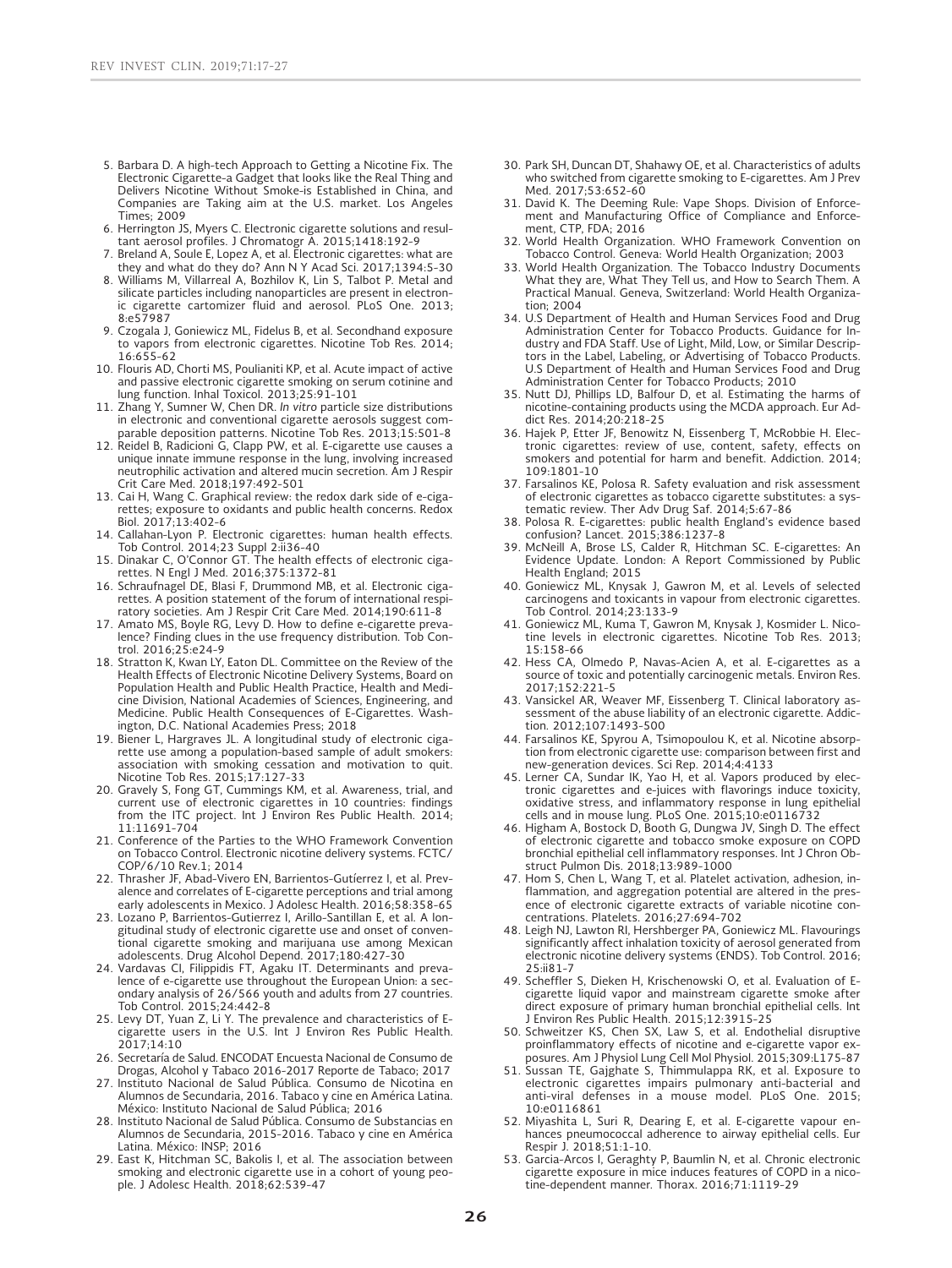- 5. Barbara D. A high-tech Approach to Getting a Nicotine Fix. The Electronic Cigarette-a Gadget that looks like the Real Thing and Delivers Nicotine Without Smoke-is Established in China, and Companies are Taking aim at the U.S. market. Los Angeles Times; 2009
- 6. Herrington JS, Myers C. Electronic cigarette solutions and resul-tant aerosol profiles. J Chromatogr A. 2015;1418:192-9
- 7. Breland A, Soule E, Lopez A, et al. Electronic cigarettes: what are
- they and what do they do? Ann N Y Acad Sci. 2017;1394:5-30 8. Williams M, Villarreal A, Bozhilov K, Lin S, Talbot P. Metal and silicate particles including nanoparticles are present in electronic cigarette cartomizer fluid and aerosol. PLoS One. 2013; 8:e57987
- 9. Czogala J, Goniewicz ML, Fidelus B, et al. Secondhand exposure to vapors from electronic cigarettes. Nicotine Tob Res. 2014; 16:655-62
- 10. Flouris AD, Chorti MS, Poulianiti KP, et al. Acute impact of active and passive electronic cigarette smoking on serum cotinine and lung function. Inhal Toxicol. 2013;25:91-101
- 11. Zhang Y, Sumner W, Chen DR. *In vitro* particle size distributions in electronic and conventional cigarette aerosols suggest comparable deposition patterns. Nicotine Tob Res. 2013;15:501-8
- 12. Reidel B, Radicioni G, Clapp PW, et al. E-cigarette use causes a unique innate immune response in the lung, involving increased neutrophilic activation and altered mucin secretion. Am J Respir
- Crit Care Med. 2018;197:492-501 13. Cai H, Wang C. Graphical review: the redox dark side of e-cigarettes; exposure to oxidants and public health concerns. Redox Biol. 2017;13:402-6
- 14. Callahan-Lyon P. Electronic cigarettes: human health effects. Tob Control. 2014;23 Suppl 2:ii36-40
- 15. Dinakar C, O'Connor GT. The health effects of electronic cigarettes. N Engl J Med. 2016;375:1372-81
- 16. Schraufnagel DE, Blasi F, Drummond MB, et al. Electronic cigarettes. A position statement of the forum of international respiratory societies. Am J Respir Crit Care Med. 2014;190:611-8
- 17. Amato MS, Boyle RG, Levy D. How to define e-cigarette prevalence? Finding clues in the use frequency distribution. Tob Control. 2016;25:e24-9
- 18. Stratton K, Kwan LY, Eaton DL. Committee on the Review of the Health Effects of Electronic Nicotine Delivery Systems, Board on Population Health and Public Health Practice, Health and Medicine Division, National Academies of Sciences, Engineering, and Medicine. Public Health Consequences of E-Cigarettes. Washington, D.C. National Academies Press; 2018
- 19. Biener L, Hargraves JL. A longitudinal study of electronic cigarette use among a population-based sample of adult smokers: association with smoking cessation and motivation to quit. Nicotine Tob Res. 2015;17:127-33
- 20. Gravely S, Fong GT, Cummings KM, et al. Awareness, trial, and current use of electronic cigarettes in 10 countries: findings from the ITC project. Int J Environ Res Public Health. 2014; 11:11691-704
- 21. Conference of the Parties to the WHO Framework Convention on Tobacco Control. Electronic nicotine delivery systems. FCTC/ COP/6/10 Rev.1; 2014
- 22. Thrasher JF, Abad-Vivero EN, Barrientos-Gutíerrez I, et al. Prevalence and correlates of E-cigarette perceptions and trial among early adolescents in Mexico. J Adolesc Health. 2016;58:358-65
- 23. Lozano P, Barrientos-Gutierrez I, Arillo-Santillan E, et al. A longitudinal study of electronic cigarette use and onset of conventional cigarette smoking and marijuana use among Mexican adolescents. Drug Alcohol Depend. 2017;180:427-30
- 24. Vardavas CI, Filippidis FT, Agaku IT. Determinants and prevalence of e-cigarette use throughout the European Union: a secondary analysis of 26/566 youth and adults from 27 countries. Tob Control. 2015;24:442-8
- 25. Levy DT, Yuan Z, Li Y. The prevalence and characteristics of E-cigarette users in the U.S. Int J Environ Res Public Health. 2017;14:10
- 26. Secretaría de Salud. ENCODAT Encuesta Nacional de Consumo de Drogas, Alcohol y Tabaco 2016-2017 Reporte de Tabaco; 2017
- 27. Instituto Nacional de Salud Pública. Consumo de Nicotina en Alumnos de Secundaria, 2016. Tabaco y cine en América Latina. México: Instituto Nacional de Salud Pública; 2016
- 28. Instituto Nacional de Salud Pública. Consumo de Substancias en Alumnos de Secundaria, 2015-2016. Tabaco y cine en América Latina. México: INSP; 2016
- 29. East K, Hitchman SC, Bakolis I, et al. The association between smoking and electronic cigarette use in a cohort of young peo-ple. J Adolesc Health. 2018;62:539-47
- 30. Park SH, Duncan DT, Shahawy OE, et al. Characteristics of adults who switched from cigarette smoking to E-cigarettes. Am J Prev Med. 2017;53:652-60
- 31. David K. The Deeming Rule: Vape Shops. Division of Enforcement and Manufacturing Office of Compliance and Enforcement, CTP, FDA; 2016
- 32. World Health Organization. WHO Framework Convention on Tobacco Control. Geneva: World Health Organization; 2003
- 33. World Health Organization. The Tobacco Industry Documents What they are, What They Tell us, and How to Search Them. A Practical Manual. Geneva, Switzerland: World Health Organization; 2004
- 34. U.S Department of Health and Human Services Food and Drug Administration Center for Tobacco Products. Guidance for Industry and FDA Staff. Use of Light, Mild, Low, or Similar Descriptors in the Label, Labeling, or Advertising of Tobacco Products. U.S Department of Health and Human Services Food and Drug Administration Center for Tobacco Products; 2010
- 35. Nutt DJ, Phillips LD, Balfour D, et al. Estimating the harms of nicotine-containing products using the MCDA approach. Eur Ad-dict Res. 2014;20:218-25
- 36. Hajek P, Etter JF, Benowitz N, Eissenberg T, McRobbie H. Electronic cigarettes: review of use, content, safety, effects on smokers and potential for harm and benefit. Addiction. 2014; 109:1801-10
- 37. Farsalinos KE, Polosa R. Safety evaluation and risk assessment of electronic cigarettes as tobacco cigarette substitutes: a systematic review. Ther Adv Drug Saf. 2014;5:67-86
- 38. Polosa R. E-cigarettes: public health England's evidence based confusion? Lancet. 2015;386:1237-8
- 39. McNeill A, Brose LS, Calder R, Hitchman SC. E-cigarettes: An Evidence Update. London: A Report Commissioned by Public Health England; 2015
- 40. Goniewicz ML, Knysak J, Gawron M, et al. Levels of selected carcinogens and toxicants in vapour from electronic cigarettes. Tob Control. 2014;23:133-9
- 41. Goniewicz ML, Kuma T, Gawron M, Knysak J, Kosmider L. Nicotine levels in electronic cigarettes. Nicotine Tob Res. 2013; 15:158-66
- 42. Hess CA, Olmedo P, Navas-Acien A, et al. E-cigarettes as a source of toxic and potentially carcinogenic metals. Environ Res. 2017;152:221-5
- 43. Vansickel AR, Weaver MF, Eissenberg T. Clinical laboratory as-sessment of the abuse liability of an electronic cigarette. Addiction. 2012;107:1493-500
- 44. Farsalinos KE, Spyrou A, Tsimopoulou K, et al. Nicotine absorption from electronic cigarette use: comparison between first and new-generation devices. Sci Rep. 2014;4:4133
- 45. Lerner CA, Sundar IK, Yao H, et al. Vapors produced by electronic cigarettes and e-juices with flavorings induce toxicity, oxidative stress, and inflammatory response in lung epithelial cells and in mouse lung. PLoS One. 2015;10:e0116732
- 46. Higham A, Bostock D, Booth G, Dungwa JV, Singh D. The effect of electronic cigarette and tobacco smoke exposure on COPD bronchial epithelial cell inflammatory responses. Int J Chron Obstruct Pulmon Dis. 2018;13:989-1000
- 47. Hom S, Chen L, Wang T, et al. Platelet activation, adhesion, inflammation, and aggregation potential are altered in the presence of electronic cigarette extracts of variable nicotine concentrations. Platelets. 2016;27:694-702
- 48. Leigh NJ, Lawton RI, Hershberger PA, Goniewicz ML. Flavourings significantly affect inhalation toxicity of aerosol generated from electronic nicotine delivery systems (ENDS). Tob Control. 2016; 25:ii81-7
- 49. Scheffler S, Dieken H, Krischenowski O, et al. Evaluation of Ecigarette liquid vapor and mainstream cigarette smoke after direct exposure of primary human bronchial epithelial cells. Int J Environ Res Public Health. 2015;12:3915-25
- 50. Schweitzer KS, Chen SX, Law S, et al. Endothelial disruptive proinflammatory effects of nicotine and e-cigarette vapor exposures. Am J Physiol Lung Cell Mol Physiol. 2015;309:L175-87 51. Sussan TE, Gajghate S, Thimmulappa RK, et al. Exposure to
- electronic cigarettes impairs pulmonary anti-bacterial and anti-viral defenses in a mouse model. PLoS One. 2015; 10:e0116861
- 52. Miyashita L, Suri R, Dearing E, et al. E-cigarette vapour enhances pneumococcal adherence to airway epithelial cells. Eur Respir J. 2018;51:1-10.
- 53. Garcia-Arcos I, Geraghty P, Baumlin N, et al. Chronic electronic cigarette exposure in mice induces features of COPD in a nicotine-dependent manner. Thorax. 2016;71:1119-29